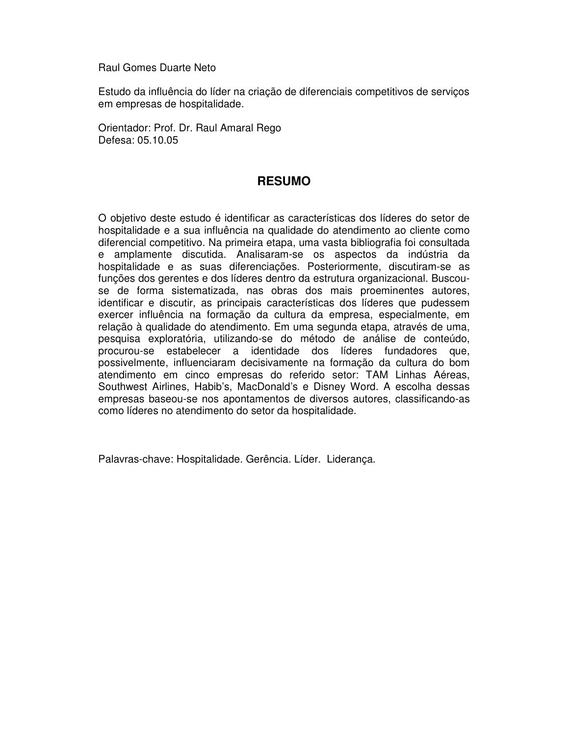Raul Gomes Duarte Neto

Estudo da influência do líder na criação de diferenciais competitivos de serviços em empresas de hospitalidade.

Orientador: Prof. Dr. Raul Amaral Rego Defesa: 05.10.05

## **RESUMO**

O objetivo deste estudo é identificar as características dos líderes do setor de hospitalidade e a sua influência na qualidade do atendimento ao cliente como diferencial competitivo. Na primeira etapa, uma vasta bibliografia foi consultada e amplamente discutida. Analisaram-se os aspectos da indústria da hospitalidade e as suas diferenciações. Posteriormente, discutiram-se as funções dos gerentes e dos líderes dentro da estrutura organizacional. Buscouse de forma sistematizada, nas obras dos mais proeminentes autores, identificar e discutir, as principais características dos líderes que pudessem exercer influência na formação da cultura da empresa, especialmente, em relação à qualidade do atendimento. Em uma segunda etapa, através de uma, pesquisa exploratória, utilizando-se do método de análise de conteúdo, procurou-se estabelecer a identidade dos líderes fundadores que, possivelmente, influenciaram decisivamente na formação da cultura do bom atendimento em cinco empresas do referido setor: TAM Linhas Aéreas, Southwest Airlines, Habib's, MacDonald's e Disney Word. A escolha dessas empresas baseou-se nos apontamentos de diversos autores, classificando-as como líderes no atendimento do setor da hospitalidade.

Palavras-chave: Hospitalidade. Gerência. Líder. Liderança.